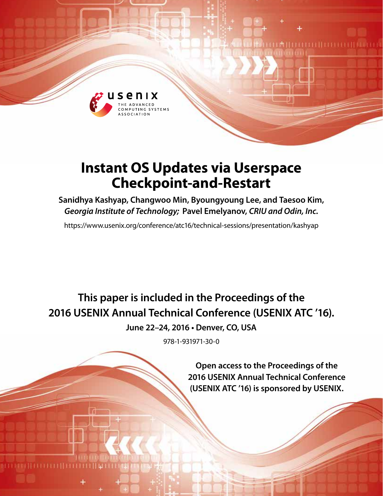

# **Instant OS Updates via Userspace Checkpoint-and-Restart**

**Sanidhya Kashyap, Changwoo Min, Byoungyoung Lee, and Taesoo Kim,** *Georgia Institute of Technology;* **Pavel Emelyanov,** *CRIU and Odin, Inc.*

https://www.usenix.org/conference/atc16/technical-sessions/presentation/kashyap

**This paper is included in the Proceedings of the 2016 USENIX Annual Technical Conference (USENIX ATC '16).**

**June 22–24, 2016 • Denver, CO, USA**

978-1-931971-30-0

**Open access to the Proceedings of the 2016 USENIX Annual Technical Conference (USENIX ATC '16) is sponsored by USENIX.**

**THEFTHEFT**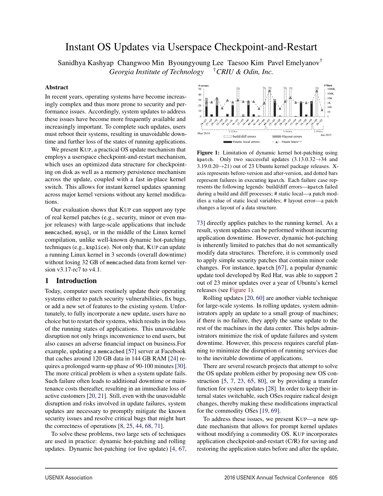## Instant OS Updates via Userspace Checkpoint-and-Restart

Sanidhya Kashyap Changwoo Min Byoungyoung Lee Taesoo Kim Pavel Emelyanov† *Georgia Institute of Technology* †*CRIU & Odin, Inc.*

1

#### Abstract

In recent years, operating systems have become increasingly complex and thus more prone to security and performance issues. Accordingly, system updates to address these issues have become more frequently available and increasingly important. To complete such updates, users must reboot their systems, resulting in unavoidable downtime and further loss of the states of running applications.

We present KUP, a practical OS update mechanism that employs a userspace checkpoint-and-restart mechanism, which uses an optimized data structure for checkpointing on disk as well as a memory persistence mechanism across the update, coupled with a fast in-place kernel switch. This allows for instant kernel updates spanning across major kernel versions without any kernel modifications.

Our evaluation shows that KUP can support any type of real kernel patches (e.g., security, minor or even major releases) with large-scale applications that include memcached, mysql, or in the middle of the Linux kernel compilation, unlike well-known dynamic hot-patching techniques (e.g., ksplice). Not only that, KUP can update a running Linux kernel in 3 seconds (overall downtime) without losing 32 GB of memcached data from kernel version v3.17-rc7 to v4.1.

### 1 Introduction

Today, computer users routinely update their operating systems either to patch security vulnerabilities, fix bugs, or add a new set of features to the existing system. Unfortunately, to fully incorporate a new update, users have no choice but to restart their systems, which results in the loss of the running states of applications. This unavoidable disruption not only brings inconvenience to end users, but also causes an adverse financial impact on business.For example, updating a memcached [57] server at Facebook that caches around 120 GB data in 144 GB RAM [24] requires a prolonged warm-up phase of 90-100 minutes [30]. The more critical problem is when a system update fails. Such failure often leads to additional downtime or maintenance costs thereafter, resulting in an immediate loss of active customers [20, 21]. Still, even with the unavoidable disruption and risks involved in update failures, system updates are necessary to promptly mitigate the known security issues and resolve critical bugs that might hurt the correctness of operations [8, 25, 44, 68, 71].

To solve these problems, two large sets of techniques are used in practice: dynamic hot-patching and rolling updates. Dynamic hot-patching (or live update) [4, 67,



Figure 1: Limitation of dynamic kernel hot-patching using kpatch. Only two successful updates  $(3.13.0.32 \rightarrow 34$  and  $3.19.0.20 \rightarrow 21$ ) out of 23 Ubuntu kernel package releases. Xaxis represents before-version and after-version, and dotted bars represent failures in executing kpatch. Each failure case represents the following legends: build/diff errors—kpatch failed during a build and diff processes; # static local—a patch modifies a value of static local variables; # layout error—a patch changes a layout of a data structure.

73] directly applies patches to the running kernel. As a result, system updates can be performed without incurring application downtime. However, dynamic hot-patching is inherently limited to patches that do not semantically modify data structures. Therefore, it is commonly used to apply simple security patches that contain minor code changes. For instance, kpatch [67], a popular dynamic update tool developed by Red Hat, was able to support 2 out of 23 minor updates over a year of Ubuntu's kernel releases (see Figure 1).

Rolling updates [20, 60] are another viable technique for large-scale systems. In rolling updates, system administrators apply an update to a small group of machines; if there is no failure, they apply the same update to the rest of the machines in the data center. This helps administrators minimize the risk of update failures and system downtime. However, this process requires careful planning to minimize the disruption of running services due to the inevitable downtime of applications.

There are several research projects that attempt to solve the OS update problem either by proposing new OS construction [5, 7, 23, 65, 80], or by providing a transfer function for system updates [28]. In order to keep their internal states switchable, such OSes require radical design changes, thereby making these modifications impractical for the commodity OSes [19, 69].

To address these issues, we present KUP—a new update mechanism that allows for prompt kernel updates without modifying a commodity OS. KUP incorporates application checkpoint-and-restart (C/R) for saving and restoring the application states before and after the update,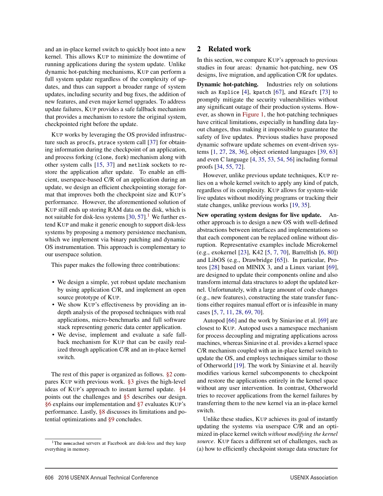and an in-place kernel switch to quickly boot into a new kernel. This allows KUP to minimize the downtime of running applications during the system update. Unlike dynamic hot-patching mechanisms, KUP can perform a full system update regardless of the complexity of updates, and thus can support a broader range of system updates, including security and bug fixes, the addition of new features, and even major kernel upgrades. To address update failures, KUP provides a safe fallback mechanism that provides a mechanism to restore the original system, checkpointed right before the update.

KUP works by leveraging the OS provided infrastructure such as procfs, ptrace system call [37] for obtaining information during the checkpoint of an application, and process forking (clone, fork) mechanism along with other system calls [15, 37] and netlink sockets to restore the application after update. To enable an efficient, userspace-based C/R of an application during an update, we design an efficient checkpointing storage format that improves both the checkpoint size and KUP's performance. However, the aforementioned solution of KUP still ends up storing RAM data on the disk, which is not suitable for disk-less systems  $[30, 57]$ .<sup>1</sup> We further extend KUP and make it generic enough to support disk-less systems by proposing a memory persistence mechanism, which we implement via binary patching and dynamic OS instrumentation. This approach is complementary to our userspace solution.

This paper makes the following three contributions:

- We design a simple, yet robust update mechanism by using application C/R, and implement an open source prototype of KUP.
- We show KUP's effectiveness by providing an indepth analysis of the proposed techniques with real applications, micro-benchmarks and full software stack representing generic data center application.
- We devise, implement and evaluate a safe fallback mechanism for KUP that can be easily realized through application C/R and an in-place kernel switch.

The rest of this paper is organized as follows. §2 compares KUP with previous work. §3 gives the high-level ideas of KUP's approach to instant kernel update. §4 points out the challenges and §5 describes our design. §6 explains our implementation and §7 evaluates KUP's performance. Lastly, §8 discusses its limitations and potential optimizations and §9 concludes.

2

## 2 Related work

In this section, we compare KUP's approach to previous studies in four areas: dynamic hot-patching, new OS designs, live migration, and application C/R for updates.

Dynamic hot-patching. Industries rely on solutions such as Ksplice [4], kpatch [67], and KGraft [73] to promptly mitigate the security vulnerabilities without any significant outage of their production systems. However, as shown in Figure 1, the hot-patching techniques have critical limitations, especially in handling data layout changes, thus making it impossible to guarantee the safety of live updates. Previous studies have proposed dynamic software update schemes on event-driven systems [1, 27, 28, 36], object oriented languages [39, 63] and even C language [4, 35, 53, 54, 56] including formal proofs [34, 55, 72].

However, unlike previous update techniques, KUP relies on a whole kernel switch to apply any kind of patch, regardless of its complexity. KUP allows for system-wide live updates without modifying programs or tracking their state changes, unlike previous works [19, 35].

New operating system designs for live update. Another approach is to design a new OS with well-defined abstractions between interfaces and implementations so that each component can be replaced online without disruption. Representative examples include Microkernel (e.g., exokernel [23], K42 [5, 7, 70], Barrelfish [6, 80]) and LibOS (e.g., Drawbridge [65]). In particular, Proteos [28] based on MINIX 3, and a Linux variant [69], are designed to update their components online and also transform internal data structures to adopt the updated kernel. Unfortunately, with a large amount of code changes (e.g., new features), constructing the state transfer functions either requires manual effort or is infeasible in many cases [5, 7, 11, 28, 69, 70].

Autopod [66] and the work by Siniavine et al. [69] are closest to KUP. Autopod uses a namespace mechanism for process decoupling and migrating applications across machines, whereas Siniavine et al. provides a kernel space C/R mechanism coupled with an in-place kernel switch to update the OS, and employs techniques similar to those of Otherworld [19]. The work by Siniavine et al. heavily modifies various kernel subcomponents to checkpoint and restore the applications entirely in the kernel space without any user intervention. In contrast, Otherworld tries to recover applications from the kernel failures by transferring them to the new kernel via an in-place kernel switch.

Unlike these studies, KUP achieves its goal of instantly updating the systems via userspace C/R and an optimized in-place kernel switch *without modifying the kernel source*. KUP faces a different set of challenges, such as (a) how to efficiently checkpoint storage data structure for

<sup>&</sup>lt;sup>1</sup>The memcached servers at Facebook are disk-less and they keep everything in memory.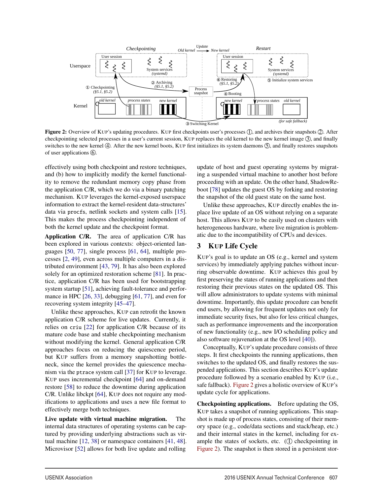

Figure 2: Overview of KUP's updating procedures. KUP first checkpoints user's processes (1), and archives their snapshots  $(2)$ . After checkpointing selected processes in a user's current session, KUP replaces the old kernel to the new kernel image 3, and finally switches to the new kernel  $\ddot{q}$ . After the new kernel boots, KUP first initializes its system daemons  $\ddot{S}$ , and finally restores snapshots of user applications  $\circled{6}$ .

effectively using both checkpoint and restore techniques, and (b) how to implicitly modify the kernel functionality to remove the redundant memory copy phase from the application C/R, which we do via a binary patching mechanism. KUP leverages the kernel-exposed userspace information to extract the kernel-resident data-structures' data via procfs, netlink sockets and system calls [15]. This makes the process checkpointing independent of both the kernel update and the checkpoint format.

Application C/R. The area of application C/R has been explored in various contexts: object-oriented languages [50, 77], single process [61, 64], multiple processes [2, 49], even across multiple computers in a distributed environment [43, 79]. It has also been explored solely for an optimized restoration scheme [81]. In practice, application C/R has been used for bootstrapping system startup [51], achieving fault-tolerance and performance in HPC [26, 33], debugging [61, 77], and even for recovering system integrity [45–47].

Unlike these approaches, KUP can retrofit the known application C/R scheme for live updates. Currently, it relies on criu [22] for application C/R because of its mature code base and stable checkpointing mechanism without modifying the kernel. General application C/R approaches focus on reducing the quiescence period, but KUP suffers from a memory snapshotting bottleneck, since the kernel provides the quiescence mechanism via the ptrace system call [37] for KUP to leverage. KUP uses incremental checkpoint [64] and on-demand restore [58] to reduce the downtime during application C/R. Unlike libckpt [64], KUP does not require any modifications to applications and uses a new file format to effectively merge both techniques.

Live update with virtual machine migration. The internal data structures of operating systems can be captured by providing underlying abstractions such as virtual machine [12, 38] or namespace containers [41, 48]. Microvisor [52] allows for both live update and rolling

update of host and guest operating systems by migrating a suspended virtual machine to another host before proceeding with an update. On the other hand, ShadowReboot [78] updates the guest OS by forking and restoring the snapshot of the old guest state on the same host.

Unlike these approaches, KUP directly enables the inplace live update of an OS without relying on a separate host. This allows KUP to be easily used on clusters with heterogeneous hardware, where live migration is problematic due to the incompatibility of CPUs and devices.

## 3 KUP Life Cycle

KUP's goal is to update an OS (e.g., kernel and system services) by immediately applying patches without incurring observable downtime. KUP achieves this goal by first preserving the states of running applications and then restoring their previous states on the updated OS. This will allow administrators to update systems with minimal downtime. Importantly, this update procedure can benefit end users, by allowing for frequent updates not only for immediate security fixes, but also for less critical changes, such as performance improvements and the incorporation of new functionality (e.g., new I/O scheduling policy and also software rejuvenation at the OS level [40]).

Conceptually, KUP's update procedure consists of three steps. It first checkpoints the running applications, then switches to the updated OS, and finally restores the suspended applications. This section describes KUP's update procedure followed by a scenario enabled by KUP (i.e., safe fallback). Figure 2 gives a holistic overview of KUP's update cycle for applications.

Checkpointing applications. Before updating the OS, KUP takes a snapshot of running applications. This snapshot is made up of process states, consisting of their memory space (e.g., code/data sections and stack/heap, etc.) and their internal states in the kernel, including for example the states of sockets, etc.  $(1)$  checkpointing in Figure 2). The snapshot is then stored in a persistent stor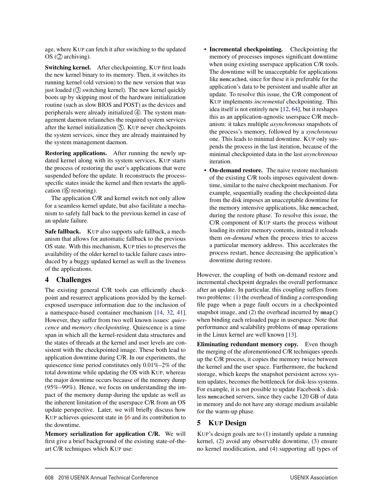age, where KUP can fetch it after switching to the updated  $OS(2)$  archiving).

Switching kernel. After checkpointing, KUP first loads the new kernel binary to its memory. Then, it switches its running kernel (old version) to the new version that was just loaded (3) switching kernel). The new kernel quickly boots up by skipping most of the hardware initialization routine (such as slow BIOS and POST) as the devices and peripherals were already initialized  $\Phi$ . The system management daemon relaunches the required system services after the kernel initialization  $\circledS$ . KUP never checkpoints the system services, since they are already maintained by the system management daemon.

Restoring applications. After running the newly updated kernel along with its system services, KUP starts the process of restoring the user's applications that were suspended before the update. It reconstructs the processspecific states inside the kernel and then restarts the application  $(6)$  restoring).

The application C/R and kernel switch not only allow for a seamless kernel update, but also facilitate a mechanism to safely fall back to the previous kernel in case of an update failure.

Safe fallback. KUP also supports safe fallback, a mechanism that allows for automatic fallback to the previous OS state. With this mechanism, KUP tries to preserves the availability of the older kernel to tackle failure cases introduced by a buggy updated kernel as well as the liveness of the applications.

## 4 Challenges

The existing general C/R tools can efficiently checkpoint and resurrect applications provided by the kernelexposed userspace information due to the inclusion of a namespace-based container mechanism [14, 32, 41]. However, they suffer from two well known issues: *quiescence* and *memory checkpointing*. Quiescence is a time span in which all the kernel-resident data structures and the states of threads at the kernel and user levels are consistent with the checkpointed image. These both lead to application downtime during C/R. In our experiments, the quiescence time period constitutes only 0.01%–2% of the total downtime while updating the OS with KUP, whereas the major downtime occurs because of the memory dump (95%–99%). Hence, we focus on understanding the impact of the memory dump during the update as well as the inherent limitation of the userspace C/R from an OS update perspective. Later, we will briefly discuss how KUP achieves quiescent state in §6 and its contribution to the downtime.

Memory serialization for application C/R. We will first give a brief background of the existing state-of-theart C/R techniques which KUP use:

- Incremental checkpointing. Checkpointing the memory of processes imposes significant downtime when using existing userspace application C/R tools. The downtime will be unacceptable for applications like memcached, since for these it is preferable for the application's data to be persistent and usable after an update. To resolve this issue, the C/R component of KUP implements *incremental* checkpointing. This idea itself is not entirely new [12, 64], but it reshapes this as an application-agnostic userspace C/R mechanism: it takes multiple *asynchronous* snapshots of the process's memory, followed by a *synchronous* one. This leads to minimal downtime. KUP only suspends the process in the last iteration, because of the minimal checkpointed data in the last *asynchronous* iteration.
- On-demand restore. The naive restore mechanism of the existing C/R tools imposes equivalent downtime, similar to the naive checkpoint mechanism. For example, sequentially reading the checkpointed data from the disk imposes an unacceptable downtime for the memory intensive applications, like memcached, during the restore phase. To resolve this issue, the C/R component of KUP starts the process without loading its entire memory contents, instead it reloads them *on-demand* when the process tries to access a particular memory address. This accelerates the process restart, hence decreasing the application's downtime during restore.

However, the coupling of both on-demand restore and incremental checkpoint degrades the overall performance after an update. In particular, this coupling suffers from two problems: (1) the overhead of finding a corresponding file page when a page fault occurs in a checkpointed snapshot image, and (2) the overhead incurred by mmap() when binding each reloaded page in userspace. Note that performance and scalability problems of mmap operations in the Linux kernel are well known [13].

Eliminating redundant memory copy. Even though the merging of the aforementioned C/R techniques speeds up the C/R process, it copies the memory twice between the kernel and the user space. Furthermore, the backend storage, which keeps the snapshot persistent across system updates, becomes the bottleneck for disk-less systems. For example, it is not possible to update Facebook's diskless memcached servers, since they cache 120 GB of data in memory and do not have any storage medium available for the warm-up phase.

## 5 KUP Design

4

KUP's design goals are to (1) instantly update a running kernel, (2) avoid any observable downtime, (3) ensure no kernel modification, and (4) supporting all types of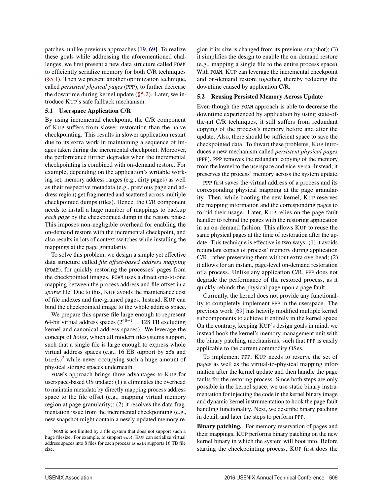patches, unlike previous approaches [19, 69]. To realize these goals while addressing the aforementioned challenges, we first present a new data structure called FOAM to efficiently serialize memory for both C/R techniques  $(\S 5.1)$ . Then we present another optimization technique, called *persistent physical pages* (PPP), to further decrease the downtime during kernel update (§5.2). Later, we introduce KUP's safe fallback mechanism.

#### 5.1 Userspace Application C/R

By using incremental checkpoint, the C/R component of KUP suffers from slower restoration than the naive checkpointing. This results in slower application restart due to its extra work in maintaining a sequence of images taken during the incremental checkpoint. Moreover, the performance further degrades when the incremental checkpointing is combined with on-demand restore. For example, depending on the application's writable working set, memory address ranges (e.g., dirty pages) as well as their respective metadata (e.g., previous page and address region) get fragmented and scattered across multiple checkpointed dumps (files). Hence, the C/R component needs to install a huge number of mappings to backup *each page* by the checkpointed dump in the restore phase. This imposes non-negligible overhead for enabling the on-demand restore with the incremental checkpoint, and also results in lots of context switches while installing the mappings at the page granularity.

To solve this problem, we design a simple yet effective data structure called *file offset-based address mapping* (FOAM), for quickly restoring the processes' pages from the checkpointed images. FOAM uses a direct one-to-one mapping between the process address and file offset in a *sparse* file. Due to this, KUP avoids the maintenance cost of file indexes and fine-grained pages. Instead, KUP can bind the checkpointed image to the whole address space.

We prepare this sparse file large enough to represent 64-bit virtual address spaces ( $2^{48-1} = 128$  TB excluding kernel and canonical address spaces). We leverage the concept of *holes*, which all modern filesystems support, such that a single file is large enough to express whole virtual address spaces (e.g., 16 EB support by xfs and btrfs)<sup>2</sup> while never occupying such a huge amount of physical storage spaces underneath.

FOAM's approach brings three advantages to KUP for userspace-based OS update: (1) it eliminates the overhead to maintain metadata by directly mapping process address space to the file offset (e.g., mapping virtual memory region at page granularity); (2) it resolves the data fragmentation issue from the incremental checkpointing (e.g., new snapshot might contain a newly updated memory re-

5

gion if its size is changed from its previous snapshot); (3) it simplifies the design to enable the on-demand restore (e.g., mapping a single file to the entire process space). With FOAM, KUP can leverage the incremental checkpoint and on-demand restore together, thereby reducing the downtime caused by application C/R.

## 5.2 Reusing Persisted Memory Across Update

Even though the FOAM approach is able to decrease the downtime experienced by application by using state-ofthe-art C/R techniques, it still suffers from redundant copying of the process's memory before and after the update. Also, there should be sufficient space to save the checkpointed data. To thwart these problems, KUP introduces a new mechanism called *persistent physical pages* (PPP). PPP removes the redundant copying of the memory from the kernel to the userspace and vice-versa. Instead, it preserves the process' memory across the system update.

PPP first saves the virtual address of a process and its corresponding physical mapping at the page granularity. Then, while booting the new kernel, KUP reserves the mapping information and the corresponding pages to forbid their usage. Later, KUP relies on the page fault handler to rebind the pages with the restoring application in an on-demand fashion. This allows KUP to reuse the same physical pages at the time of restoration after the update. This technique is effective in two ways: (1) it avoids redundant copies of process' memory during application C/R, rather preserving them without extra overhead; (2) it allows for an instant, page-level on-demand restoration of a process. Unlike any application C/R, PPP does not degrade the performance of the restored process, as it quickly rebinds the physical page upon a page fault.

Currently, the kernel does not provide any functionality to completely implement PPP in the userspace. The previous work [69] has heavily modified multiple kernel subcomponents to achieve it entirely in the kernel space. On the contrary, keeping KUP's design goals in mind, we instead hook the kernel's memory management unit with the binary patching mechanisms, such that PPP is easily applicable to the current commodity OSes.

To implement PPP, KUP needs to reserve the set of pages as well as the virtual-to-physical mapping information after the kernel update and then handle the page faults for the restoring process. Since both steps are only possible in the kernel space, we use static binary instrumentation for injecting the code in the kernel binary image and dynamic kernel instrumentation to hook the page fault handling functionality. Next, we describe binary patching in detail, and later the steps to perform PPP.

Binary patching. For memory reservation of pages and their mappings, KUP performs binary patching on the new kernel binary in which the system will boot into. Before starting the checkpointing process, KUP first does the

<sup>2</sup>FOAM is not limited by a file system that does not support such a huge filesize. For example, to support ext4, KUP can serialize virtual address spaces into 8 files for each process as ext4 supports 16 TB file size.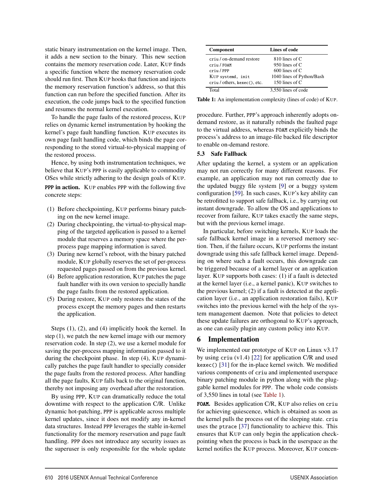static binary instrumentation on the kernel image. Then, it adds a new section to the binary. This new section contains the memory reservation code. Later, KUP finds a specific function where the memory reservation code should run first. Then KUP hooks that function and injects the memory reservation function's address, so that this function can run before the specified function. After its execution, the code jumps back to the specified function and resumes the normal kernel execution.

To handle the page faults of the restored process, KUP relies on dynamic kernel instrumentation by hooking the kernel's page fault handling function. KUP executes its own page fault handling code, which binds the page corresponding to the stored virtual-to-physical mapping of the restored process.

Hence, by using both instrumentation techniques, we believe that KUP's PPP is easily applicable to commodity OSes while strictly adhering to the design goals of KUP.

PPP in action. KUP enables PPP with the following five concrete steps:

- (1) Before checkpointing, KUP performs binary patching on the new kernel image.
- (2) During checkpointing, the virtual-to-physical mapping of the targeted application is passed to a kernel module that reserves a memory space where the perprocess page mapping information is saved.
- (3) During new kernel's reboot, with the binary patched module, KUP globally reserves the set of per-process requested pages passed on from the previous kernel.
- (4) Before application restoration, KUP patches the page fault handler with its own version to specially handle the page faults from the restored application.
- (5) During restore, KUP only restores the states of the process except the memory pages and then restarts the application.

Steps (1), (2), and (4) implicitly hook the kernel. In step (1), we patch the new kernel image with our memory reservation code. In step (2), we use a kernel module for saving the per-process mapping information passed to it during the checkpoint phase. In step (4), KUP dynamically patches the page fault handler to specially consider the page faults from the restored process. After handling all the page faults, KUP falls back to the original function, thereby not imposing any overhead after the restoration.

By using PPP, KUP can dramatically reduce the total downtime with respect to the application C/R. Unlike dynamic hot-patching, PPP is applicable across multiple kernel updates, since it does not modify any in-kernel data structures. Instead PPP leverages the stable in-kernel functionality for the memory reservation and page fault handling. PPP does not introduce any security issues as the superuser is only responsible for the whole update

| <b>Component</b>             | Lines of code             |
|------------------------------|---------------------------|
| criu / on-demand restore     | 810 lines of $C$          |
| criu / FOAM                  | 950 lines of $C$          |
| criu / PPP                   | $600$ lines of C          |
| KUP systemd. init            | 1040 lines of Python/Bash |
| criu / others, kexec(), etc. | 150 lines of $C$          |
| Total                        | 3,550 lines of code       |

Table 1: An implementation complexity (lines of code) of KUP.

procedure. Further, PPP's approach inherently adopts ondemand restore, as it naturally rebinds the faulted page to the virtual address, whereas FOAM explicitly binds the process's address to an image-file backed file descriptor to enable on-demand restore.

#### 5.3 Safe Fallback

After updating the kernel, a system or an application may not run correctly for many different reasons. For example, an application may not run correctly due to the updated buggy file system [9] or a buggy system configuration [59]. In such cases, KUP's key ability can be retrofitted to support safe fallback, i.e., by carrying out instant downgrade. To allow the OS and applications to recover from failure, KUP takes exactly the same steps, but with the previous kernel image.

In particular, before switching kernels, KUP loads the safe fallback kernel image in a reversed memory section. Then, if the failure occurs, KUP performs the instant downgrade using this safe fallback kernel image. Depending on where such a fault occurs, this downgrade can be triggered because of a kernel layer or an application layer. KUP supports both cases: (1) if a fault is detected at the kernel layer (i.e., a kernel panic), KUP switches to the previous kernel; (2) if a fault is detected at the application layer (i.e., an application restoration fails), KUP switches into the previous kernel with the help of the system management daemon. Note that policies to detect these update failures are orthogonal to KUP's approach, as one can easily plugin any custom policy into KUP.

## 6 Implementation

6

We implemented our prototype of KUP on Linux v3.17 by using criu (v1.4) [22] for application C/R and used kexec() [31] for the in-place kernel switch. We modified various components of criu and implemented userspace binary patching module in python along with the pluggable kernel modules for PPP. The whole code consists of 3,550 lines in total (see Table 1).

FOAM. Besides application C/R, KUP also relies on criu for achieving quiescence, which is obtained as soon as the kernel pulls the process out of the sleeping state. criu uses the ptrace [37] functionality to achieve this. This ensures that KUP can only begin the application checkpointing when the process is back in the userspace as the kernel notifies the KUP process. Moreover, KUP concen-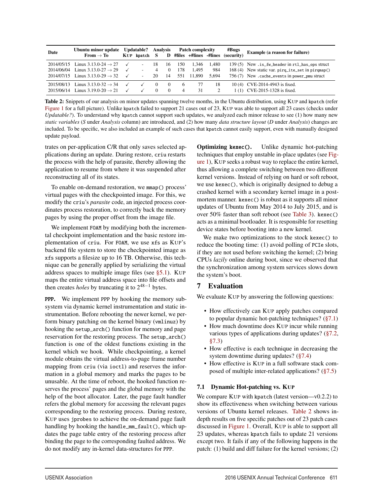| Date       | Ubuntu minor update<br>From $\rightarrow$ To                                                                                       | <b>Updatable?</b><br>KUP kpatch S | Analysis                     |                      |                   | <b>Patch complexity</b><br>D #files +#lines -#lines |                       | #Bugs<br>(security) | <b>Example (a reason for failure)</b>                                                                                                                 |  |
|------------|------------------------------------------------------------------------------------------------------------------------------------|-----------------------------------|------------------------------|----------------------|-------------------|-----------------------------------------------------|-----------------------|---------------------|-------------------------------------------------------------------------------------------------------------------------------------------------------|--|
| 2014/06/04 | $2014/05/15$ Linux 3.13.0-24 $\rightarrow$ 27<br>Linux 3.13.0-27 $\rightarrow$ 29<br>$2014/07/15$ Linux 3.13.0-29 $\rightarrow$ 32 |                                   | -18<br>4<br>20               | 16<br>$\Omega$<br>14 | 150<br>178<br>551 | 1.346<br>1.495<br>11.890                            | 1.480<br>984<br>5.694 |                     | 139 (5) New .is_fw_header in rt1_has_ops struct<br>168 (4) New static var. pirq_ite_set in pirqmap()<br>756 (7) New .cache_events in power_pmu struct |  |
|            | $2015/08/13$ Linux 3.13.0-32 $\rightarrow$ 34<br>$2015/06/14$ Linux 3.19.0-20 $\rightarrow$ 21                                     |                                   | $\left( \right)$<br>$\Omega$ | $\Omega$<br>$\Omega$ | 6<br>4            | 77<br>31                                            | 18                    |                     | 10(4) CVE-2014-4943 is fixed.<br>1(1) CVE-2015-1328 is fixed.                                                                                         |  |

Table 2: Snippets of our analysis on minor updates spanning twelve months, in the Ubuntu distribution, using KUP and kpatch (refer Figure 1 for a full picture). Unlike kpatch failed to support 21 cases out of 23, KUP was able to support all 23 cases (checks under *Updatable?*). To understand why kpatch cannot support such updates, we analyzed each minor release to see (1) how many new *static variables* (*S* under *Analysis* column) are introduced, and (2) how many *data structure layout* (*D* under *Analysis*) changes are included. To be specific, we also included an example of such cases that kpatch cannot easily support, even with manually designed update payload.

trates on per-application C/R that only saves selected applications during an update. During restore, criu restarts the process with the help of parasite, thereby allowing the application to resume from where it was suspended after reconstructing all of its states.

To enable on-demand restoration, we mmap() process' virtual pages with the checkpointed image. For this, we modify the criu's *parasite* code, an injected process coordinates process restoration, to correctly back the memory pages by using the proper offset from the image file.

We implement FOAM by modifying both the incremental checkpoint implementation and the basic restore implementation of criu. For FOAM, we use xfs as KUP's backend file system to store the checkpointed image as xfs supports a filesize up to 16 TB. Otherwise, this technique can be generally applied by serializing the virtual address spaces to multiple image files (see §5.1). KUP maps the entire virtual address space into file offsets and then creates *holes* by truncating it to  $2^{48-1}$  bytes.

PPP. We implement PPP by hooking the memory subsystem via dynamic kernel instrumentation and static instrumentation. Before rebooting the newer kernel, we perform binary patching on the kernel binary (vmlinuz) by hooking the setup\_arch() function for memory and page reservation for the restoring process. The setup\_arch() function is one of the oldest functions existing in the kernel which we hook. While checkpointing, a kernel module obtains the virtual address-to-page frame number mapping from criu (via ioctl) and reserves the information in a global memory and marks the pages to be unusable. At the time of reboot, the hooked function reserves the process' pages and the global memory with the help of the boot allocator. Later, the page fault handler refers the global memory for accessing the relevant pages corresponding to the restoring process. During restore, KUP uses jprobes to achieve the on-demand page fault handling by hooking the handle\_mm\_fault(), which updates the page table entry of the restoring process after binding the page to the corresponding faulted address. We do not modify any in-kernel data-structures for PPP.

Optimizing kexec(). Unlike dynamic hot-patching techniques that employ unstable in-place updates (see Figure 1), KUP seeks a robust way to replace the entire kernel, thus allowing a complete switching between two different kernel versions. Instead of relying on hard or soft reboot, we use kexec(), which is originally designed to debug a crashed kernel with a secondary kernel image in a postmortem manner. kexec() is robust as it supports all minor updates of Ubuntu from May 2014 to July 2015, and is over 50% faster than soft reboot (see Table 3). kexec() acts as a minimal bootloader. It is responsible for resetting device states before booting into a new kernel.

We make two optimizations to the stock kexec() to reduce the booting time: (1) avoid polling of PCIe slots, if they are not used before switching the kernel; (2) bring CPUs *lazily* online during boot, since we observed that the synchronization among system services slows down the system's boot.

## 7 Evaluation

7

We evaluate KUP by answering the following questions:

- How effectively can KUP apply patches compared to popular dynamic hot-patching techniques? (§7.1)
- How much downtime does KUP incur while running various types of applications during updates? (§7.2, §7.3)
- How effective is each technique in decreasing the system downtime during updates? (§7.4)
- How effective is KUP in a full software stack composed of multiple inter-related applications? (§7.5)

## 7.1 Dynamic Hot-patching vs. KUP

We compare KUP with kpatch (latest version—v0.2.2) to show its effectiveness when switching between various versions of Ubuntu kernel releases. Table 2 shows indepth results on five specific patches out of 23 patch cases discussed in Figure 1. Overall, KUP is able to support all 23 updates, whereas kpatch fails to update 21 versions except two. It fails if any of the following happens in the patch: (1) build and diff failure for the kernel versions; (2)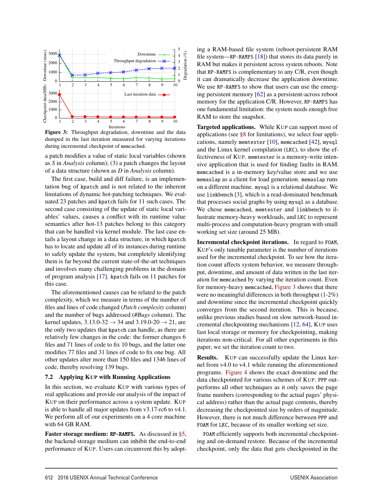

Figure 3: Throughput degradation, downtime and the data dumped in the last iteration measured for varying iterations during incremental checkpoint of memcached.

a patch modifies a value of static local variables (shown as *S* in *Analysis* column); (3) a patch changes the layout of a data structure (shown as *D* in *Analysis* column).

The first case, build and diff failure, is an implementation bug of kpatch and is not related to the inherent limitations of dynamic hot-patching techniques. We evaluated 23 patches and kpatch fails for 11 such cases. The second case consisting of the update of static local variables' values, causes a conflict with its runtime value semantics after hot-13 patches belong to this category that can be handled via kernel module. The last case entails a layout change in a data structure, in which kpatch has to locate and update all of its instances during runtime to safely update the system, but completely identifying them is far beyond the current state-of-the-art techniques and involves many challenging problems in the domain of program analysis [17]. kpatch fails on 11 patches for this case.

The aforementioned causes can be related to the patch complexity, which we measure in terms of the number of files and lines of code changed (*Patch complexity* column) and the number of bugs addressed (*#Bugs* column). The kernel updates,  $3.13.0-32 \rightarrow 34$  and  $3.19.0-20 \rightarrow 21$ , are the only two updates that kpatch can handle, as there are relatively few changes in the code: the former changes 6 files and 71 lines of code to fix 10 bugs, and the latter one modifies 77 files and 31 lines of code to fix one bug. All other updates alter more than 150 files and 1346 lines of code, thereby resolving 139 bugs.

#### 7.2 Applying KUP with Running Applications

In this section, we evaluate KUP with various types of real applications and provide our analysis of the impact of KUP on their performance across a system update. KUP is able to handle all major updates from v3.17-rc6 to v4.1. We perform all of our experiments on a 4 core machine with 64 GB RAM.

Faster storage medium: RP-RAMFS. As discussed in §5, the backend storage medium can inhibit the end-to-end performance of KUP. Users can circumvent this by adopt-

8

ing a RAM-based file system (reboot-persistent RAM file system—RP-RAMFS [18]) that stores its data purely in RAM but makes it persistent across system reboots. Note that RP-RAMFS is complementary to any C/R, even though it can dramatically decrease the application downtime. We use RP-RAMFS to show that users can use the emerging persistent memory [62] as a persistent-across reboot memory for the application C/R. However, RP-RAMFS has one fundamental limitation: the system needs enough free RAM to store the snapshot.

Targeted applications. While KUP can support most of applications (see §8 for limitations), we select four applications, namely memtester [10], memcached [42], mysql and the Linux kernel compilation (LKC), to show the effectiveness of KUP. memtester is a memory-write intensive application that is used for finding faults in RAM. memcached is a in-memory key/value store and we use memaslap as a client for load generation. memaslap runs on a different machine. mysql is a relational database. We use linkbench [3], which is a read-dominated benchmark that processes social graphs by using mysql as a database. We chose memcached, memtester and linkbench to illustrate memory-heavy workloads, and LKC to represent multi-process and computation-heavy program with small working set size (around 25 MB).

Incremental checkpoint iterations. In regard to FOAM, KUP's only tunable parameter is the number of iterations used for the incremental checkpoint. To see how the iteration count affects system behavior, we measure throughput, downtime, and amount of data written in the last iteration for memcached by varying the iteration count. Even for memory-heavy memcached, Figure 3 shows that there were no meaningful differences in both throughput (1-2%) and downtime since the incremental checkpoint quickly converges from the second iteration. This is because, unlike previous studies based on slow network-based incremental checkpointing mechanisms [12, 64], KUP uses fast local storage or memory for checkpointing, making iterations non-critical. For all other experiments in this paper, we set the iteration count to two.

Results. KUP can successfully update the Linux kernel from v4.0 to v4.1 while running the aforementioned programs. Figure 4 shows the exact downtime and the data checkpointed for various schemes of KUP. PPP outperforms all other techniques as it only saves the page frame numbers (corresponding to the actual pages' physical address) rather than the actual page contents, thereby decreasing the checkpointed size by orders of magnitude. However, there is not much difference between PPP and FOAM for LKC, because of its smaller working set size.

FOAM efficiently supports both incremental checkpointing and on-demand restore. Because of the incremental checkpoint, only the data that gets checkpointed in the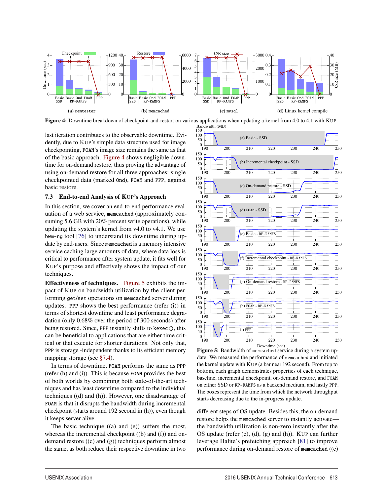

Figure 4: Downtime breakdown of checkpoint-and-restart on various applications when updating a kernel from 4.0 to 4.1 with KUP. Bandwidth (MB)

last iteration contributes to the observable downtime. Evidently, due to KUP's simple data structure used for image checkpointing, FOAM's image size remains the same as that of the basic approach. Figure 4 shows negligible downtime for on-demand restore, thus proving the advantage of using on-demand restore for all three approaches: single checkpointed data (marked Ond), FOAM and PPP, against basic restore.

#### 7.3 End-to-end Analysis of KUP's Approach

In this section, we cover an end-to-end performance evaluation of a web service, memcached (approximately consuming 5.6 GB with 20% percent write operations), while updating the system's kernel from v4.0 to v4.1. We use bwm-ng tool [76] to understand its downtime during update by end-users. Since memcached is a memory intensive service caching large amounts of data, where data loss is critical to performance after system update, it fits well for KUP's purpose and effectively shows the impact of our techniques.

Effectiveness of techniques. Figure 5 exhibits the impact of KUP on bandwidth utilization by the client performing get/set operations on memcached server during updates. PPP shows the best performance (refer (i)) in terms of shortest downtime and least performance degradation (only 0.68% over the period of 300 seconds) after being restored. Since, PPP instantly shifts to kexec(), this can be beneficial to applications that are either time critical or that execute for shorter durations. Not only that, PPP is storage -independent thanks to its efficient memory mapping storage (see §7.4).

In terms of downtime, FOAM performs the same as PPP (refer (h) and (i)). This is because FOAM provides the best of both worlds by combining both state-of-the-art techniques and has least downtime compared to the individual techniques ((d) and (h)). However, one disadvantage of FOAM is that it disrupts the bandwidth during incremental checkpoint (starts around 192 second in (h)), even though it keeps server alive.

The basic technique ((a) and (e)) suffers the most, whereas the incremental checkpoint ((b) and (f)) and ondemand restore ((c) and (g)) techniques perform almost the same, as both reduce their respective downtime in two



Figure 5: Bandwidth of memcached service during a system update. We measured the performance of memcached and initiated the kernel update with KUP (a bar near 192 second). From top to bottom, each graph demonstrates properties of each technique, baseline, incremental checkpoint, on-demand restore, and FOAM on either SSD or RP-RAMFS as a backend medium, and lastly PPP. The boxes represent the time from which the network throughput starts decreasing due to the in-progress update.

different steps of OS update. Besides this, the on-demand restore helps the memcached server to instantly activate the bandwidth utilization is non-zero instantly after the OS update (refer (c), (d), (g) and (h)). KUP can further leverage Halite's prefetching approach [81] to improve performance during on-demand restore of memcached ((c)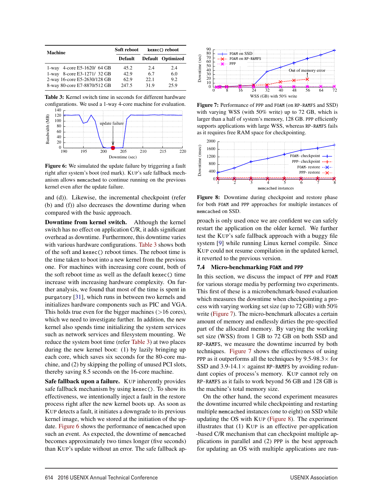| <b>Machine</b>               | Soft reboot    | kexec() reboot |                   |  |
|------------------------------|----------------|----------------|-------------------|--|
|                              | <b>Default</b> |                | Default Optimized |  |
| 1-way 4-core E5-1620/ 64 GB  | 45.2           | 2.4            | 2.4               |  |
| 1-way 8-core E3-1271/32 GB   | 42.9           | 67             | 6.0               |  |
| 2-way 16-core E5-2630/128 GB | 62.9           | 22.1           | 9.2               |  |
| 8-way 80-core E7-8870/512 GB | 247.5          | 31.9           | 25.9              |  |

Table 3: Kernel switch time in seconds for different hardware configurations. We used a 1-way 4-core machine for evaluation.



Figure 6: We simulated the update failure by triggering a fault right after system's boot (red mark). KUP's safe fallback mechanism allows memcached to continue running on the previous kernel even after the update failure.

and (d)). Likewise, the incremental checkpoint (refer (b) and (f)) also decreases the downtime during when compared with the basic approach.

Downtime from kernel switch. Although the kernel switch has no effect on application C/R, it adds significant overhead as downtime. Furthermore, this downtime varies with various hardware configurations. Table 3 shows both of the soft and kexec() reboot times. The reboot time is the time taken to boot into a new kernel from the previous one. For machines with increasing core count, both of the soft reboot time as well as the default kexec() time increase with increasing hardware complexity. On further analysis, we found that most of the time is spent in purgatory [31], which runs in between two kernels and initializes hardware components such as PIC and VGA. This holds true even for the bigger machines  $($ >16 cores), which we need to investigate further. In addition, the new kernel also spends time initializing the system services such as network services and filesystem mounting. We reduce the system boot time (refer Table 3) at two places during the new kernel boot: (1) by lazily bringing up each core, which saves six seconds for the 80-core machine, and (2) by skipping the polling of unused PCI slots, thereby saving 8.5 seconds on the 16-core machine.

Safe fallback upon a failure. KUP inherently provides safe fallback mechanism by using kexec(). To show its effectiveness, we intentionally inject a fault in the restore process right after the new kernel boots up. As soon as KUP detects a fault, it initiates a downgrade to its previous kernel image, which we stored at the initiation of the update. Figure 6 shows the performance of memcached upon such an event. As expected, the downtime of memcached becomes approximately two times longer (five seconds) than KUP's update without an error. The safe fallback ap-



Figure 7: Performance of PPP and FOAM (on RP-RAMFS and SSD) with varying WSS (with 50% write) up to 72 GB, which is larger than a half of system's memory, 128 GB. PPP efficiently supports applications with large WSS, whereas RP-RAMFS fails as it requires free RAM space for checkpointing.



Figure 8: Downtime during checkpoint and restore phase for both FOAM and PPP approaches for multiple instances of memcached on SSD.

proach is only used once we are confident we can safely restart the application on the older kernel. We further test the KUP's safe fallback approach with a buggy file system [9] while running Linux kernel compile. Since KUP could not resume compilation in the updated kernel, it reverted to the previous version.

#### 7.4 Micro-benchmarking FOAM and PPP

In this section, we discuss the impact of PPP and FOAM for various storage media by performing two experiments. This first of these is a microbenchmark-based evaluation which measures the downtime when checkpointing a process with varying working set size (up to 72 GB) with 50% write (Figure 7). The micro-benchmark allocates a certain amount of memory and endlessly dirties the pre-specified part of the allocated memory. By varying the working set size (WSS) from 1 GB to 72 GB on both SSD and RP-RAMFS, we measure the downtime incurred by both techniques. Figure 7 shows the effectiveness of using PPP as it outperforms all the techniques by  $9.5\n-98.3\times$  for SSD and 3.9-14.1 $\times$  against RP-RAMFS by avoiding redundant copies of process's memory. KUP cannot rely on RP-RAMFS as it fails to work beyond 56 GB and 128 GB is the machine's total memory size.

On the other hand, the second experiment measures the downtime incurred while checkpointing and restarting multiple memcached instances (one to eight) on SSD while updating the OS with KUP (Figure 8). The experiment illustrates that (1) KUP is an effective per-application -based C/R mechanism that can checkpoint multiple applications in parallel and (2) PPP is the best approach for updating an OS with multiple applications are run-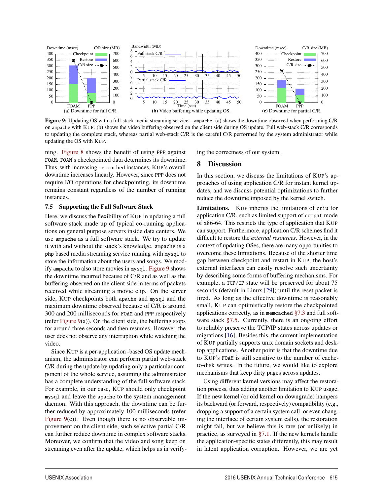

Figure 9: Updating OS with a full-stack media streaming service—ampache. (a) shows the downtime observed when performing C/R on ampache with KUP. (b) shows the video buffering observed on the client side during OS update. Full web-stack C/R corresponds to updating the complete stack, whereas partial web-stack C/R is the careful C/R performed by the system administrator while updating the OS with KUP.

ning. Figure 8 shows the benefit of using PPP against FOAM. FOAM's checkpointed data determines its downtime. Thus, with increasing memcached instances, KUP's overall downtime increases linearly. However, since PPP does not require I/O operations for checkpointing, its downtime remains constant regardless of the number of running instances.

#### 7.5 Supporting the Full Software Stack

Here, we discuss the flexibility of KUP in updating a full software stack made up of typical co-running applications on general purpose servers inside data centers. We use ampache as a full software stack. We try to update it with and without the stack's knowledge. ampache is a php based media streaming service running with mysql to store the information about the users and songs. We modify ampache to also store movies in mysql. Figure 9 shows the downtime incurred because of C/R and as well as the buffering observed on the client side in terms of packets received while streaming a movie clip. On the server side, KUP checkpoints both apache and mysql and the maximum downtime observed because of C/R is around 300 and 200 milliseconds for FOAM and PPP respectively (refer Figure  $9(a)$ ). On the client side, the buffering stops for around three seconds and then resumes. However, the user does not observe any interruption while watching the video.

Since KUP is a per-application -based OS update mechanism, the administrator can perform partial web-stack C/R during the update by updating only a particular component of the whole service, assuming the administrator has a complete understanding of the full software stack. For example, in our case, KUP should only checkpoint mysql and leave the apache to the system management daemon. With this approach, the downtime can be further reduced by approximately 100 milliseconds (refer Figure  $9(c)$ ). Even though there is no observable improvement on the client side, such selective partial C/R can further reduce downtime in complex software stacks. Moreover, we confirm that the video and song keep on streaming even after the update, which helps us in verifying the correctness of our system.

#### 8 Discussion

In this section, we discuss the limitations of KUP's approaches of using application C/R for instant kernel updates, and we discuss potential optimizations to further reduce the downtime imposed by the kernel switch.

Limitations. KUP inherits the limitations of criu for application C/R, such as limited support of compat mode of x86-64. This restricts the type of application that KUP can support. Furthermore, application C/R schemes find it difficult to restore the *external resources*. However, in the context of updating OSes, there are many opportunities to overcome these limitations. Because of the shorter time gap between checkpoint and restart in KUP, the host's external interfaces can easily resolve such uncertainty by describing some forms of buffering mechanisms. For example, a TCP/IP state will be preserved for about 75 seconds (default in Linux [29]) until the reset packet is fired. As long as the effective downtime is reasonably small, KUP can optimistically restore the checkpointed applications correctly, as in memcached §7.3 and full software stack  $\S7.5$ . Currently, there is an ongoing effort to reliably preserve the TCP/IP states across updates or migrations [16]. Besides this, the current implementation of KUP partially supports unix domain sockets and desktop applications. Another point is that the downtime due to KUP's FOAM is still sensitive to the number of cacheto-disk writes. In the future, we would like to explore mechanisms that keep dirty pages across updates.

Using different kernel versions may affect the restoration process, thus adding another limitation to KUP usage. If the new kernel (or old kernel on downgrade) hampers its backward (or forward, respectively) compatibility (e.g., dropping a support of a certain system call, or even changing the interface of certain system calls), the restoration might fail, but we believe this is rare (or unlikely) in practice, as surveyed in §7.1. If the new kernels handle the application-specific states differently, this may result in latent application corruption. However, we are yet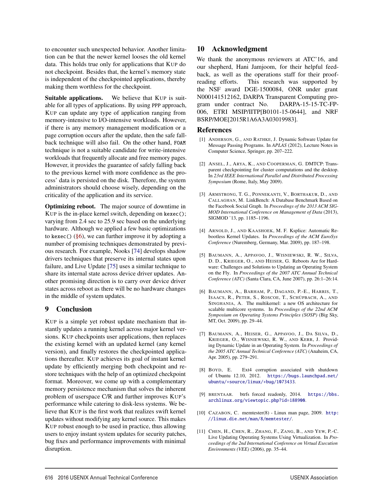to encounter such unexpected behavior. Another limitation can be that the newer kernel looses the old kernel data. This holds true only for applications that KUP do not checkpoint. Besides that, the kernel's memory state is independent of the checkpointed applications, thereby making them worthless for the checkpoint.

Suitable applications. We believe that KUP is suitable for all types of applications. By using PPP approach, KUP can update any type of application ranging from memory-intensive to I/O-intensive workloads. However, if there is any memory management modification or a page corruption occurs after the update, then the safe fallback technique will also fail. On the other hand, FOAM technique is not a suitable candidate for write-intensive workloads that frequently allocate and free memory pages. However, it provides the guarantee of safely falling back to the previous kernel with more confidence as the process' data is persisted on the disk. Therefore, the system administrators should choose wisely, depending on the criticality of the application and its service.

Optimizing reboot. The major source of downtime in KUP is the in-place kernel switch, depending on kexec(); varying from 2.4 sec to 25.9 sec based on the underlying hardware. Although we applied a few basic optimizations to kexec()  $(\S6)$ , we can further improve it by adopting a number of promising techniques demonstrated by previous research. For example, Nooks [74] develops shadow drivers techniques that preserve its internal states upon failure, and Live Update [75] uses a similar technique to share its internal state across device driver updates. Another promising direction is to carry over device driver states across reboot as there will be no hardware changes in the middle of system updates.

## 9 Conclusion

KUP is a simple yet robust update mechanism that instantly updates a running kernel across major kernel versions. KUP checkpoints user applications, then replaces the existing kernel with an updated kernel (any kernel version), and finally restores the checkpointed applications thereafter. KUP achieves its goal of instant kernel update by efficiently merging both checkpoint and restore techniques with the help of an optimized checkpoint format. Moreover, we come up with a complementary memory persistence mechanism that solves the inherent problem of userspace C/R and further improves KUP's performance while catering to disk-less systems. We believe that KUP is the first work that realizes swift kernel updates without modifying any kernel source. This makes KUP robust enough to be used in practice, thus allowing users to enjoy instant system updates for security patches, bug fixes and performance improvements with minimal disruption.

## 10 Acknowledgment

We thank the anonymous reviewers at ATC'16, and our shepherd, Hani Jamjoom, for their helpful feedback, as well as the operations staff for their proofreading efforts. This research was supported by the NSF award DGE-1500084, ONR under grant N000141512162, DARPA Transparent Computing program under contract No. DARPA-15-15-TC-FP-006, ETRI MSIP/IITP[B0101-15-0644], and NRF BSRP/MOE[2015R1A6A3A03019983].

### References

- [1] ANDERSON, G., AND RATHKE, J. Dynamic Software Update for Message Passing Programs. In *APLAS* (2012), Lecture Notes in Computer Science, Springer, pp. 207–222.
- [2] ANSEL, J., ARYA, K., AND COOPERMAN, G. DMTCP: Transparent checkpointing for cluster computations and the desktop. In *23rd IEEE International Parallel and Distributed Processing Symposium* (Rome, Italy, May 2009).
- [3] ARMSTRONG, T. G., PONNEKANTI, V., BORTHAKUR, D., AND CALLAGHAN, M. LinkBench: A Database Benchmark Based on the Facebook Social Graph. In *Proceedings of the 2013 ACM SIG-MOD International Conference on Management of Data* (2013), SIGMOD '13, pp. 1185–1196.
- [4] ARNOLD, J., AND KAASHOEK, M. F. Ksplice: Automatic Rebootless Kernel Updates. In *Proceedings of the ACM EuroSys Conference* (Nuremberg, Germany, Mar. 2009), pp. 187–198.
- [5] BAUMANN, A., APPAVOO, J., WISNIEWSKI, R. W., SILVA, D. D., KRIEGER, O., AND HEISER, G. Reboots Are for Hardware: Challenges and Solutions to Updating an Operating System on the Fly. In *Proceedings of the 2007 ATC Annual Technical Conference (ATC)* (Santa Clara, CA, June 2007), pp. 26:1–26:14.
- [6] BAUMANN, A., BARHAM, P., DAGAND, P.-E., HARRIS, T., ISAACS, R., PETER, S., ROSCOE, T., SCHÜPBACH, A., AND SINGHANIA, A. The multikernel: a new OS architecture for scalable multicore systems. In *Proceedings of the 22nd ACM Symposium on Operating Systems Principles (SOSP)* (Big Sky, MT, Oct. 2009), pp. 29–44.
- [7] BAUMANN, A., HEISER, G., APPAVOO, J., DA SILVA, D., KRIEGER, O., WISNIEWSKI, R. W., AND KERR, J. Providing Dynamic Update in an Operating System. In *Proceedings of the 2005 ATC Annual Technical Conference (ATC)* (Anaheim, CA, Apr. 2005), pp. 279–291.
- [8] BOYD, E. Ext4 corruption associated with shutdown of Ubuntu 12.10, 2012. https://bugs.launchpad.net/ ubuntu/+source/linux/+bug/1073433.
- [9] BRENTAAR. btrfs forced readonly, 2014. https://bbs. archlinux.org/viewtopic.php?id=188900.
- [10] CAZABON, C. memtester(8) Linux man page, 2009. http: //linux.die.net/man/8/memtester/.
- [11] CHEN, H., CHEN, R., ZHANG, F., ZANG, B., AND YEW, P.-C. Live Updating Operating Systems Using Virtualization. In *Proceedings of the 2nd International Conference on Virtual Execution Environments (VEE)* (2006), pp. 35–44.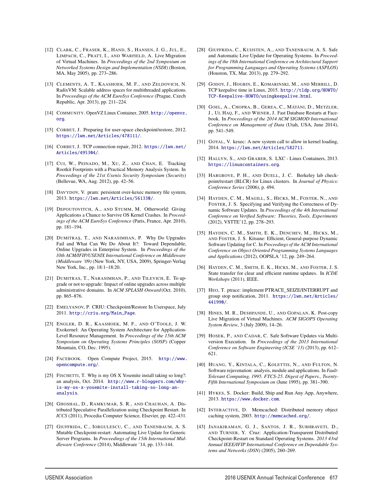- [12] CLARK, C., FRASER, K., HAND, S., HANSEN, J. G., JUL, E., LIMPACH, C., PRATT, I., AND WARFIELD, A. Live Migration of Virtual Machines. In *Proceedings of the 2nd Symposium on Networked Systems Design and Implementation (NSDI)* (Boston, MA, May 2005), pp. 273–286.
- [13] CLEMENTS, A. T., KAASHOEK, M. F., AND ZELDOVICH, N. RadixVM: Scalable address spaces for multithreaded applications. In *Proceedings of the ACM EuroSys Conference* (Prague, Czech Republic, Apr. 2013), pp. 211–224.
- [14] COMMUNITY. OpenVZ Linux Container, 2005. http://openvz. org.
- [15] CORBET, J. Preparing for user-space checkpoint/restore, 2012. https://lwn.net/Articles/478111/.
- [16] CORBET, J. TCP connection repair, 2012. https://lwn.net/ Articles/495304/.
- [17] CUI, W., PEINADO, M., XU, Z., AND CHAN, E. Tracking Rootkit Footprints with a Practical Memory Analysis System. In *Proceedings of the 21st Usenix Security Symposium (Security)* (Bellevue, WA, Aug. 2012), pp. 42–56.
- [18] DAVYDOV, V. pram: persistent over-kexec memory file system, 2013. https://lwn.net/Articles/561330/.
- [19] DEPOUTOVITCH, A., AND STUMM, M. Otherworld: Giving Applications a Chance to Survive OS Kernel Crashes. In *Proceedings of the ACM EuroSys Conference* (Paris, France, Apr. 2010), pp. 181–194.
- [20] DUMITRAŞ, T., AND NARASIMHAN, P. Why Do Upgrades Fail and What Can We Do About It?: Toward Dependable, Online Upgrades in Enterprise System. In *Proceedings of the 10th ACM/IFIP/USENIX International Conference on Middleware (Middleware '09)* (New York, NY, USA, 2009), Springer-Verlag New York, Inc., pp. 18:1–18:20.
- [21] DUMITRAS, T., NARASIMHAN, P., AND TILEVICH, E. To upgrade or not to upgrade: Impact of online upgrades across multiple administrative domains. In *ACM SPLASH Onward*(Oct. 2010), pp. 865–876.
- [22] EMELYANOV, P. CRIU: Checkpoint/Restore In Userspace, July 2011. http://criu.org/Main\_Page.
- [23] ENGLER, D. R., KAASHOEK, M. F., AND O'TOOLE, J. W. Exokernel: An Operating System Architecture for Application-Level Resource Management. In *Proceedings of the 15th ACM Symposium on Operating Systems Principles (SOSP)* (Copper Mountain, CO, Dec. 1995).
- [24] FACEBOOK. Open Compute Project, 2015. http://www. opencompute.org/.
- [25] FISCHETTI, T. Why is my OS X Yosemite install taking so long?: an analysis, Oct. 2014. http://www.r-bloggers.com/whyis-my-os-x-yosemite-install-taking-so-long-ananalysis.
- [26] GHOSHAL, D., RAMKUMAR, S. R., AND CHAUHAN, A. Distributed Speculative Parallelization using Checkpoint Restart. In *ICCS* (2011), Procedia Computer Science, Elsevier, pp. 422–431.
- [27] GIUFFRIDA, C., IORGULESCU, C., AND TANENBAUM, A. S. Mutable Checkpoint-restart: Automating Live Update for Generic Server Programs. In *Proceedings of the 15th International Middleware Conference* (2014), Middleware '14, pp. 133–144.

- [28] GIUFFRIDA, C., KUIJSTEN, A., AND TANENBAUM, A. S. Safe and Automatic Live Update for Operating Systems. In *Proceedings of the 18th International Conference on Architectural Support for Programming Languages and Operating Systems (ASPLOS)* (Houston, TX, Mar. 2013), pp. 279–292.
- [29] GODOY, J., HOGBIN, E., KOMARINSKI, M., AND MERRILL, D. TCP keepalive time in Linux, 2015. http://tldp.org/HOWTO/ TCP-Keepalive-HOWTO/usingkeepalive.html.
- [30] GOEL, A., CHOPRA, B., GEREA, C., MÁTÁNI, D., METZLER, J., UL HAQ, F., AND WIENER, J. Fast Database Restarts at Facebook. In *Proceedings of the 2014 ACM SIGMOD International Conference on Management of Data* (Utah, USA, June 2014), pp. 541–549.
- [31] GOYAL, V. kexec: A new system call to allow in kernel loading, 2014. https://lwn.net/Articles/582711.
- [32] HALLYN, S., AND GRABER, S. LXC Linux Containers, 2013. https://linuxcontainers.org.
- [33] HARGROVE, P. H., AND DUELL, J. C. Berkeley lab checkpoint/restart (BLCR) for Linux clusters. In *Journal of Physics: Conference Series* (2006), p. 494.
- [34] HAYDEN, C. M., MAGILL, S., HICKS, M., FOSTER, N., AND FOSTER, J. S. Specifying and Verifying the Correctness of Dynamic Software Updates. In *Proceedings of the 4th International Conference on Verified Software: Theories, Tools, Experiments* (2012), VSTTE'12, pp. 278–293.
- [35] HAYDEN, C. M., SMITH, E. K., DENCHEV, M., HICKS, M., AND FOSTER, J. S. Kitsune: Efficient, General-purpose Dynamic Software Updating for C. In *Proceedings of the ACM International Conference on Object Oriented Programming Systems Languages and Applications* (2012), OOPSLA '12, pp. 249–264.
- [36] HAYDEN, C. M., SMITH, E. K., HICKS, M., AND FOSTER, J. S. State transfer for clear and efficient runtime updates. In *ICDE Workshops* (2011), IEEE.
- [37] HEO, T. ptrace: implement PTRACE\_SEIZE/INTERRUPT and group stop notification, 2011. https://lwn.net/Articles/ 441990/.
- [38] HINES, M. R., DESHPANDE, U., AND GOPALAN, K. Post-copy Live Migration of Virtual Machines. *ACM SIGOPS Operating System Review*, 3 (July 2009), 14–26.
- [39] HOSEK, P., AND CADAR, C. Safe Software Updates via Multiversion Execution. In *Proceedings of the 2013 International Conference on Software Engineering (ICSE '13)* (2013), pp. 612– 621.
- [40] HUANG, Y., KINTALA, C., KOLETTIS, N., AND FULTON, N. Software rejuvenation: analysis, module and applications. In *Fault-Tolerant Computing, 1995. FTCS-25. Digest of Papers., Twenty-Fifth International Symposium on* (June 1995), pp. 381–390.
- [41] HYKES, S. Docker: Build, Ship and Run Any App, Anywhere, 2013. https://www.docker.com.
- [42] INTERACTIVE, D. Memcached: Distributed memory object caching system, 2003. http://memcached.org/.
- [43] JANAKIRAMAN, G. J., SANTOS, J. R., SUBHRAVETI, D., AND TURNER, Y. Cruz: Application-Transparent Distributed Checkpoint-Restart on Standard Operating Systems. *2013 43rd Annual IEEE/IFIP International Conference on Dependable Systems and Networks (DSN)* (2005), 260–269.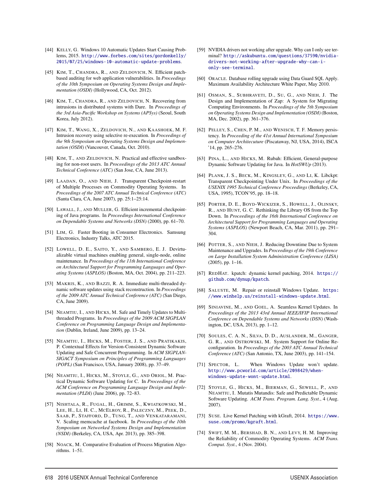- [44] KELLY, G. Windows 10 Automatic Updates Start Causing Problems, 2015. http://www.forbes.com/sites/gordonkelly/ 2015/07/25/windows-10-automatic-update-problems.
- [45] KIM, T., CHANDRA, R., AND ZELDOVICH, N. Efficient patchbased auditing for web application vulnerabilities. In *Proceedings of the 10th Symposium on Operating Systems Design and Implementation (OSDI)* (Hollywood, CA, Oct. 2012).
- [46] KIM, T., CHANDRA, R., AND ZELDOVICH, N. Recovering from intrusions in distributed systems with Dare. In *Proceedings of the 3rd Asia-Pacific Workshop on Systems (APSys)* (Seoul, South Korea, July 2012).
- [47] KIM, T., WANG, X., ZELDOVICH, N., AND KAASHOEK, M. F. Intrusion recovery using selective re-execution. In *Proceedings of the 9th Symposium on Operating Systems Design and Implementation (OSDI)* (Vancouver, Canada, Oct. 2010).
- [48] KIM, T., AND ZELDOVICH, N. Practical and effective sandboxing for non-root users. In *Proceedings of the 2013 ATC Annual Technical Conference (ATC)* (San Jose, CA, June 2013).
- [49] LAADAN, O., AND NIEH, J. Transparent Checkpoint-restart of Multiple Processes on Commodity Operating Systems. In *Proceedings of the 2007 ATC Annual Technical Conference (ATC)* (Santa Clara, CA, June 2007), pp. 25:1–25:14.
- [50] LAWALL, J., AND MULLER, G. Efficient incremental checkpointing of Java programs. In *Proceedings International Conference on Dependable Systems and Networks (DSN)* (2000), pp. 61–70.
- [51] LIM, G. Faster Booting in Consumer Electronics. Samsung Electronics, Industry Talks, ATC 2015.
- [52] LOWELL, D. E., SAITO, Y., AND SAMBERG, E. J. Devirtualizable virtual machines enabling general, single-node, online maintenance. In *Proceedings of the 11th International Conference on Architectural Support for Programming Languages and Operating Systems (ASPLOS)* (Boston, MA, Oct. 2004), pp. 211–223.
- [53] MAKRIS, K., AND BAZZI, R. A. Immediate multi-threaded dynamic software updates using stack reconstruction. In *Proceedings of the 2009 ATC Annual Technical Conference (ATC)* (San Diego, CA, June 2009).
- [54] NEAMTIU, I., AND HICKS, M. Safe and Timely Updates to Multithreaded Programs. In *Proceedings of the 2009 ACM SIGPLAN Conference on Programming Language Design and Implementation* (Dublin, Ireland, June 2009), pp. 13–24.
- [55] NEAMTIU, I., HICKS, M., FOSTER, J. S., AND PRATIKAKIS, P. Contextual Effects for Version-Consistent Dynamic Software Updating and Safe Concurrent Programming. In *ACM SIGPLAN-SIGACT Symposium on Principles of Programming Languages (POPL)* (San Francisco, USA, January 2008), pp. 37–49.
- [56] NEAMTIU, I., HICKS, M., STOYLE, G., AND ORIOL, M. Practical Dynamic Software Updating for C. In *Proceedings of the ACM Conference on Programming Language Design and Implementation (PLDI)* (June 2006), pp. 72–83.
- [57] NISHTALA, R., FUGAL, H., GRIMM, S., KWIATKOWSKI, M., LEE, H., LI, H. C., MCELROY, R., PALECZNY, M., PEEK, D., SAAB, P., STAFFORD, D., TUNG, T., AND VENKATARAMANI, V. Scaling memcache at facebook. In *Proceedings of the 10th Symposium on Networked Systems Design and Implementation (NSDI)* (Berkeley, CA, USA, Apr. 2013), pp. 385–398.
- [58] NOACK, M. Comparative Evaluation of Process Migration Algorithms. 1–51.

- [59] NVIDIA drivers not working after upgrade. Why can I only see terminal? http://askubuntu.com/questions/37590/nvidiadrivers-not-working-after-upgrade-why-can-ionly-see-terminal.
- [60] ORACLE. Database rolling upgrade using Data Guard SQL Apply. Maximum Availability Architecture White Paper, May 2010.
- [61] OSMAN, S., SUBHRAVETI, D., SU, G., AND NIEH, J. The Design and Implementation of Zap: A System for Migrating Computing Environments. In *Proceedings of the 5th Symposium on Operating Systems Design and Implementation (OSDI)* (Boston, MA, Dec. 2002), pp. 361–376.
- [62] PELLEY, S., CHEN, P. M., AND WENISCH, T. F. Memory persistency. In *Proceeding of the 41st Annual International Symposium on Computer Architecuture* (Piscataway, NJ, USA, 2014), ISCA '14, pp. 265–276.
- [63] PINA, L., AND HICKS, M. Rubah: Efficient, General-purpose Dynamic Software Updating for Java. In *HotSWUp* (2013).
- [64] PLANK, J. S., BECK, M., KINGSLEY, G., AND LI, K. Libckpt: Transparent Checkpointing Under Unix. In *Proceedings of the USENIX 1995 Technical Conference Proceedings* (Berkeley, CA, USA, 1995), TCON'95, pp. 18–18.
- [65] PORTER, D. E., BOYD-WICKIZER, S., HOWELL, J., OLINSKY, R., AND HUNT, G. C. Rethinking the Library OS from the Top Down. In *Proceedings of the 16th International Conference on Architectural Support for Programming Languages and Operating Systems (ASPLOS)* (Newport Beach, CA, Mar. 2011), pp. 291– 304.
- [66] POTTER, S., AND NIEH, J. Reducing Downtime Due to System Maintenance and Upgrades. In *Proceedings of the 19th Conference on Large Installation System Administration Conference (LISA)* (2005), pp. 1–16.
- [67] REDHAT. kpatch: dynamic kernel patching, 2014. https:// github.com/dynup/kpatch.
- [68] SALUSTE, M. Repair or reinstall Windows Update. https: //www.winhelp.us/reinstall-windows-update.html.
- [69] SINIAVINE, M., AND GOEL, A. Seamless Kernel Updates. In *Proceedings of the 2013 43rd Annual IEEE/IFIP International Conference on Dependable Systems and Networks (DSN)* (Washington, DC, USA, 2013), pp. 1–12.
- [70] SOULES, C. A. N., SILVA, D. D., AUSLANDER, M., GANGER, G. R., AND OSTROWSKI, M. System Support for Online Reconfiguration. In *Proceedings of the 2003 ATC Annual Technical Conference (ATC)* (San Antonio, TX, June 2003), pp. 141–154.
- [71] SPECTOR, L. When Windows Update won't update. http://www.pcworld.com/article/2098429/whenwindows-update-wont-update.html.
- [72] STOYLE, G., HICKS, M., BIERMAN, G., SEWELL, P., AND NEAMTIU, I. Mutatis Mutandis: Safe and Predictable Dynamic Software Updating. *ACM Trans. Program. Lang. Syst.*, 4 (Aug. 2007).
- [73] SUSE. Live Kernel Patching with kGraft, 2014. https://www. suse.com/promo/kgraft.html.
- [74] SWIFT, M. M., BERSHAD, B. N., AND LEVY, H. M. Improving the Reliability of Commodity Operating Systems. *ACM Trans. Comput. Syst.*, 4 (Nov. 2004).